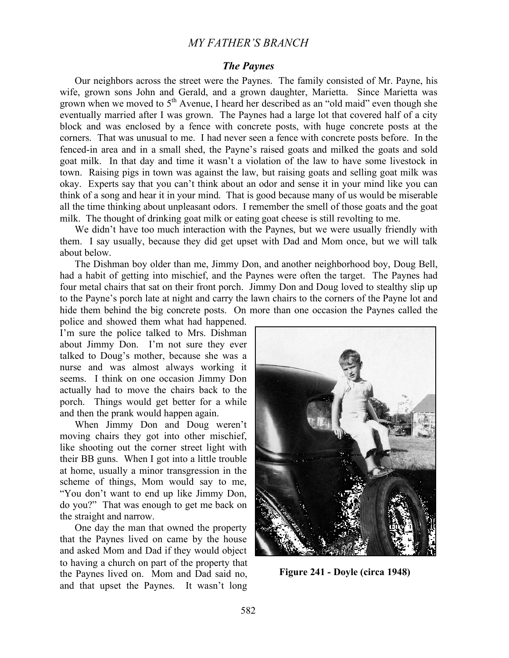# *MY FATHER'S BRANCH*

## *The Paynes*

Our neighbors across the street were the Paynes. The family consisted of Mr. Payne, his wife, grown sons John and Gerald, and a grown daughter, Marietta. Since Marietta was grown when we moved to  $5<sup>th</sup>$  Avenue, I heard her described as an "old maid" even though she eventually married after I was grown. The Paynes had a large lot that covered half of a city block and was enclosed by a fence with concrete posts, with huge concrete posts at the corners. That was unusual to me. I had never seen a fence with concrete posts before. In the fenced-in area and in a small shed, the Payne's raised goats and milked the goats and sold goat milk. In that day and time it wasn't a violation of the law to have some livestock in town. Raising pigs in town was against the law, but raising goats and selling goat milk was okay. Experts say that you can't think about an odor and sense it in your mind like you can think of a song and hear it in your mind. That is good because many of us would be miserable all the time thinking about unpleasant odors. I remember the smell of those goats and the goat milk. The thought of drinking goat milk or eating goat cheese is still revolting to me.

We didn't have too much interaction with the Paynes, but we were usually friendly with them. I say usually, because they did get upset with Dad and Mom once, but we will talk about below.

The Dishman boy older than me, Jimmy Don, and another neighborhood boy, Doug Bell, had a habit of getting into mischief, and the Paynes were often the target. The Paynes had four metal chairs that sat on their front porch. Jimmy Don and Doug loved to stealthy slip up to the Payne's porch late at night and carry the lawn chairs to the corners of the Payne lot and hide them behind the big concrete posts. On more than one occasion the Paynes called the

police and showed them what had happened. I'm sure the police talked to Mrs. Dishman about Jimmy Don. I'm not sure they ever talked to Doug's mother, because she was a nurse and was almost always working it seems. I think on one occasion Jimmy Don actually had to move the chairs back to the porch. Things would get better for a while and then the prank would happen again.

When Jimmy Don and Doug weren't moving chairs they got into other mischief, like shooting out the corner street light with their BB guns. When I got into a little trouble at home, usually a minor transgression in the scheme of things, Mom would say to me, "You don't want to end up like Jimmy Don, do you?" That was enough to get me back on the straight and narrow.

One day the man that owned the property that the Paynes lived on came by the house and asked Mom and Dad if they would object to having a church on part of the property that the Paynes lived on. Mom and Dad said no, and that upset the Paynes. It wasn't long



**Figure 241 - Doyle (circa 1948)**